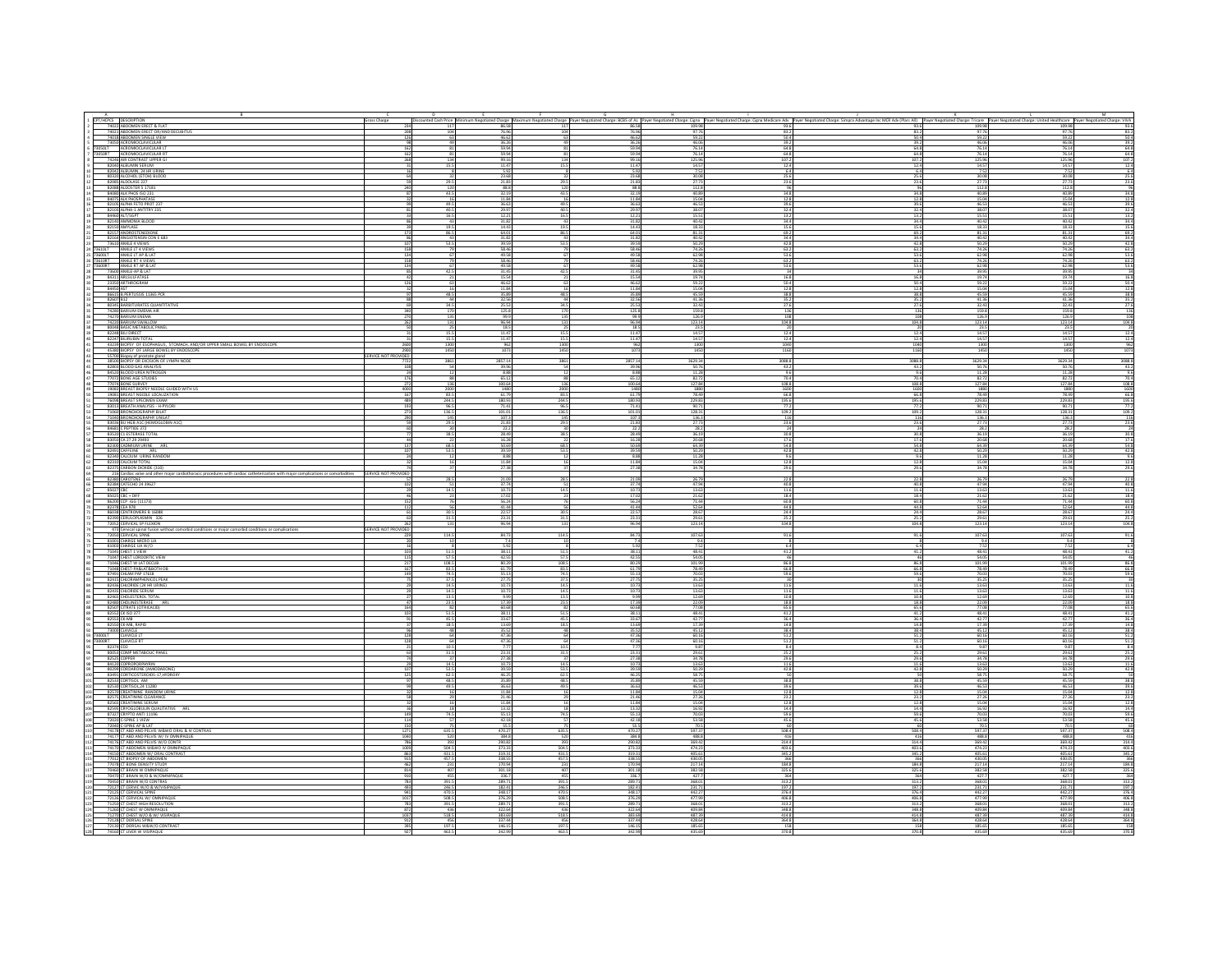|        |                                                                                                                                                                 | Gross Charge           |                       | E                             |                         |                                                                             |                                      |                                                      |                                             |                          |                                | M                                                                                                            |
|--------|-----------------------------------------------------------------------------------------------------------------------------------------------------------------|------------------------|-----------------------|-------------------------------|-------------------------|-----------------------------------------------------------------------------|--------------------------------------|------------------------------------------------------|---------------------------------------------|--------------------------|--------------------------------|--------------------------------------------------------------------------------------------------------------|
|        | A<br>CPT/HCPCS DESCRIPTION<br>74022 ABDOMEN ERECT & FLAT<br>74021 ABDOMEN ERECT OR/AND C                                                                        |                        |                       |                               |                         |                                                                             |                                      |                                                      |                                             |                          |                                |                                                                                                              |
|        | 74018 ABDOMEN SINGLE VIEW                                                                                                                                       |                        | 63                    | 46.62<br>36.26                |                         | 46.62                                                                       | 59.22<br>46.0                        | 50.4                                                 | 50.4<br>39.2                                | 59.22<br>46.06           | 59.22<br>46.06                 | 50.4                                                                                                         |
|        | 73050 ACROMIOCLAVICULAR<br>73050LT ACROMIOCLAVICULAR LT                                                                                                         |                        | 81<br>81              | 59.94<br>59.94                |                         | 36.26                                                                       | 76.14                                | $\frac{39.2}{64.8}$                                  | 64.8                                        | 76.14                    | 76.14                          | 39.2<br>64.8<br>64.8<br>107.2                                                                                |
|        | 73050RT ACROMIOCLAVICULAR RT 74246 AIR CONTRAST UPPER GI<br>82040 ALBUMIN SERUM                                                                                 |                        | 134<br>15.5           | 9911<br>11.47                 | 15.5                    | 59.94<br>99.16<br>11.47                                                     | 76.14<br>125.96<br>14.57             | 64.8<br>107.2<br>12.4                                | $\frac{64.8}{107.2}$<br>12.4                | 76.14<br>125.96<br>14.57 | 76.14<br>125.96<br>14.57       | 12.4                                                                                                         |
|        | 82042 ALBUMIN, 24 HR URINE<br>80320 ALCOHOL (ETOH) BLOOD<br>82085 ALDOLASE 227                                                                                  |                        |                       | 5.9                           |                         | 5.97                                                                        |                                      |                                                      | 6.4                                         |                          |                                |                                                                                                              |
|        |                                                                                                                                                                 |                        | 29.5                  | 21.8                          | $rac{32}{29.5}$         | $\begin{array}{r} 3.34 \\ 23.68 \\ \hline 21.83 \\ \hline 88.8 \end{array}$ | $\frac{30.08}{27.73}$                | $\frac{64}{25.6}$<br>$\frac{23.6}{96}$               | 25.6<br>23.6                                | 30.08<br>27.7            | 30.08                          | 6.4<br>25.6<br>23.6<br>96                                                                                    |
|        | 82088 ALDOSTER S 17181<br>84080 ALK PHOS ISO 231                                                                                                                |                        | 120<br>43.5           | 88.8<br>32.1                  | 120<br>43.5             | 32.19                                                                       | 40.89                                |                                                      | 96<br>34.8<br>34.8                          | 112.8<br>40.89           | 112.8<br>40.89                 | 34.8                                                                                                         |
|        | 84075 ALK PHOSPHATASE<br>82105 ALPHA FETO PROT 23                                                                                                               |                        | 16<br>49.5            | 11.84<br>36.6                 | 16<br>49.5              | 11.84<br>36.63                                                              | 15.04<br>46.53                       | 12.8<br>39.6                                         | 12.8<br>39.6                                | 15.04<br>46.53           | 15.04<br>46.53                 | 12.8                                                                                                         |
|        | 82103 ALPHA-1 ANTITRY 23<br>82103 ALPHA-1 ANTITRY 23                                                                                                            |                        | $40.5$<br>$16.5$      | 29.9                          | $\frac{40.5}{16.5}$     | 29.97<br>12.21                                                              | $\frac{38.07}{15.51}$                | $\frac{32.4}{13.2}$                                  | 32.4                                        | $\frac{38.07}{15.51}$    | 38.07<br>15.51                 | $\begin{array}{r} 39.6 \\ 32.4 \\ 13.2 \\ \hline 34.4 \end{array}$                                           |
|        | 82140 AMMONIA BLOOD                                                                                                                                             |                        | 43                    | 12.2<br>31.82                 | $-43$                   | 31.82                                                                       | 40.42                                | 34.4                                                 | 13.2<br>34.4                                | 40.42                    | 40.42                          |                                                                                                              |
|        | 82150 AMYLASE<br>82157 ANDROSTENEDIONE                                                                                                                          |                        | $\frac{19.5}{86.5}$   | 14.43<br>64.0                 | 19.5<br>86.5            | 14.43<br>64.01                                                              | $\frac{18.33}{81.31}$                | $\frac{15.6}{69.2}$                                  | 15.6<br>69.2                                | $\frac{18.33}{81.31}$    | $\frac{18.33}{81.31}$          | $\frac{15.6}{69.2}$                                                                                          |
|        | 82164 ANGIOTENSIN CON E 683<br>73610 ANKLE 4 VIEWS                                                                                                              |                        | 43<br>53.5            | 31.8<br>39.51                 | 43                      | 31.8<br>39.59                                                               | 40.42                                | 34.4                                                 | 34.4<br>42.8                                | 40.42<br>50.29           | 40.42                          | 34.4                                                                                                         |
| 3600LT | 3610LT ANKLE LT 4 VIEWS<br>ANKLE LT AP & LAT                                                                                                                    |                        |                       | 58.46<br>49.58                | 53.5<br>79              | 58.46<br>49.58                                                              | $\frac{50.29}{74.26}$                | $\frac{428}{632}$<br>53.6                            | 63.2<br>53.6                                | 74.26<br>62.98           | $\frac{50.29}{74.26}$<br>62.98 | $\frac{42.8}{63.2}$                                                                                          |
|        | 73610RT ANKLERT 4 VIEWS<br>73610RT ANKLERT AP & LA                                                                                                              |                        |                       | 58.46                         |                         | 58.46<br>49.58<br>31.45                                                     | 62.98<br>74.26<br>62.98<br>39.95     | $rac{63.2}{53.6}$                                    | $rac{63.2}{53.6}$                           | $\frac{74.26}{62.98}$    | 74.26<br>62.98<br>39.95        | $\frac{53.6}{63.2}$                                                                                          |
|        | 73600 ANKLE-AP & LAT                                                                                                                                            |                        | 42.5                  | 49.9<br>31.45                 | 42.5                    |                                                                             |                                      |                                                      |                                             | 39.95                    |                                |                                                                                                              |
|        | 84311 ARLSULFATASE<br>23350 ARTHROGRAM                                                                                                                          |                        | 63                    | 15.5<br>46.62                 | $\overline{21}$<br>63   | 15.54<br>46.62                                                              | 19.74<br>59.22                       | 50.4                                                 | 16.8<br>16.8<br>50.4                        | 19.74<br>59.22           | 19.74<br>59.22                 | 16.8                                                                                                         |
|        | 84450 AST<br>86615 B. PERTUSSIS 11365 PCR<br>82607 812                                                                                                          |                        | 48.5                  | 11.84<br>35.89                | 48.5                    | 11.84                                                                       | 15.04                                | $\begin{array}{r} 12.8 \\ 38.8 \\ 35.2 \end{array}$  | 12.8<br>$\frac{38.8}{35.2}$                 | 15.04                    | 15.04                          | 50.4<br>12.8<br>38.8<br>35.2                                                                                 |
|        | 80345 BARBITURATES QUANTITATIVI                                                                                                                                 |                        | 34.5                  | 25.53                         | 34.5                    | 35.89<br>32.56<br>25.53                                                     | 45.59<br>41.36<br>32.43              | 27.6                                                 | 27.6                                        | 45.59<br>41.36<br>32.43  | 45.59<br>41.36<br>32.43        | 27.6                                                                                                         |
|        | 74280 BARIUM EMEMA AIR                                                                                                                                          |                        | 170                   | 125.8                         | $\frac{170}{135}$       | 125.8                                                                       | 159.8<br>126.9                       |                                                      | $\frac{136}{108}$<br>$\frac{136}{108}$      | 159.8                    | 159.8                          | $\frac{136}{108}$                                                                                            |
|        | 74220 BARIUM SWALLOV                                                                                                                                            |                        | 135<br>131            | 99.<br>96.94                  | 131                     | 99.9<br>96.94                                                               | 123.14                               | 104.8                                                | 104.8                                       | 126.9<br>123.14          | 126.9<br>123.14                | 104.8                                                                                                        |
|        | <b>80048 BASIC METABOLIC PAN</b><br>82248 BILI DIRECT                                                                                                           |                        | 15.5                  | 18.5<br>11.47                 | 15.5                    | 18.5<br>11.47                                                               | $\frac{23.5}{14.57}$                 | 12.4                                                 | 20<br>12.4                                  | 23.5<br>14.57            | 23.5<br>14.57                  | $\frac{20}{12.4}$                                                                                            |
|        | 82247 BILIRUBIN TOTAL                                                                                                                                           |                        | 15.5<br>1300          | 11.47                         | 15.5                    | 11.47                                                                       | 14.57                                | 12.4                                                 | 12.4                                        | 14.57<br>1300            | 14.57                          | 12.4                                                                                                         |
|        | 43239 BIOPSY. OF ESOPHAGUS, STOMACH, AND/OR UPPER SMALL BOWEL BY ENDOSCOPE<br>45380 BIOPSY OF LARGE BOWEL BY ENDOSCOPE<br>55700 BIOPSY of POSTATe gland         | ROVIDE                 | 1450                  | $\frac{962}{1073}$            | 1300<br>1450            | $\frac{962}{1073}$                                                          | $\frac{1300}{1450}$                  | 1040<br>1160                                         | 1040<br>1160                                | 1450                     | 1300<br>1450                   | $\frac{962}{1073}$                                                                                           |
|        | 38500 BIOPSY OR EXCISION OF LYMPH NODE                                                                                                                          |                        | 3861                  | 2857.14                       | 3861                    | 2857.14                                                                     | 3629.34                              | 3088.8                                               | 3088.8                                      | 3629.34                  | 3629.34                        | 3088.8                                                                                                       |
|        | 82803 BLOOD GAS ANALYSIS<br>84520 BLOOD UREA NITROGEN<br>77072 BONE AGE STUDIES<br>77074 BONE SURVEY                                                            |                        |                       | 39.96<br>8.88                 | 54                      | 39.96<br>8.88                                                               | $\frac{50.76}{11.28}$                | 43.2                                                 | 43.2<br>9.6<br>9.6                          | 50.76<br>11.28           | $\frac{50.76}{11.28}$          | $43.2$<br>9.6                                                                                                |
|        |                                                                                                                                                                 |                        |                       | 65.1<br>100.6                 | 136                     | 65.12<br>100.64                                                             | 82.72<br>127.84                      | 70.4<br>108.8                                        | 70.4<br>108.8                               | 82.72                    | 82.72<br>127.84                | $\frac{70.4}{108.8}$                                                                                         |
|        | 19083 BREAST BIOPSY NEEDLE GUIDED WITH US                                                                                                                       | 400                    | 2000                  | 1480                          | 2000                    | 1480                                                                        | 1880                                 | 1600                                                 | 1600                                        | 1880                     | 1880                           | 1600                                                                                                         |
|        | 19081 BREAST NEEDLE LOCALIZATION<br>76098 BREAST SPECIMEN EXAM<br>83013 BREATH ANALYSIS - H-PYLORI                                                              |                        | $\frac{83.5}{244.5}$  | 61.7                          | 83.5<br>244.5           | 61.79<br>180.93                                                             | 78.49<br>229.83                      | 66.8<br>195.6                                        | 66.8<br>195.6                               | 78.49                    | 78.49<br>229.83                | $\frac{66.8}{195.6}$                                                                                         |
|        | 71060 BRONCHOGRAPHY BILAT                                                                                                                                       |                        | 96.5<br>136.5         | 71.4<br>101.0                 | 96.5<br>136.5           | 71.4<br>101.01                                                              | 90.7<br>128.31                       | 109.2                                                | 109.2                                       | 90.71<br>128.31          | 90.71<br>128.31                | 109.2                                                                                                        |
|        | 71040 BRONCHOGRAPHY UNILAT<br>83036 BU HGB A1C (HEMOGLOBIN A)                                                                                                   |                        | 145<br>29.5           | 107.<br>21.83                 | 145<br>29.5             | 107.3<br>21.83                                                              | 136.3<br>27.73                       | 23.6                                                 | 116<br>116<br>23.6                          | 136.3<br>27.73           | 136.3<br>27.73                 | $\begin{array}{r}\n 116 \\  \hline\n 23.6 \\  \hline\n 24 \\  \hline\n 30.8 \\  \hline\n 17.6\n \end{array}$ |
|        | 84681 C PEPTIDE 372                                                                                                                                             |                        | 30<br>38.5            | 28.49                         | 30<br>38.5              | 22.2                                                                        | 28.2<br>36.19<br>20.68               | $\frac{24}{30.8}$                                    | 30.8                                        | 28.2<br>36.19            | 28.2                           |                                                                                                              |
|        | 83520 CL ESTERASE TOTAL<br>83050 CA 27.29 29493<br>82300 CADMIUM URINE ARL                                                                                      |                        | 68.5                  | 16.2<br>50.69                 | 68.5                    | $\frac{111}{28.49}$<br>50.69                                                | 64.39                                | 54.8                                                 | 17.6<br>54.8                                | 20.68<br>64.39           | $\frac{36.19}{20.68}$<br>64.39 | 54.8                                                                                                         |
|        | 82491 CAFFEINE ARL<br>82340 CALCIUM URINE RANDOM                                                                                                                |                        | 53.5                  | 39.59                         | 53.5                    | 39.59                                                                       | $\frac{50.29}{11.28}$                | 42.8                                                 | 42.8                                        | 50.29                    | $\frac{50.29}{11.28}$          |                                                                                                              |
|        | 82310 CALCIUM TOTAL                                                                                                                                             |                        |                       | 8.88<br>$\frac{11.84}{27.38}$ | - 12                    | 8.88<br>11.84<br>27.38                                                      | 15.04<br>34.78                       | 9.6                                                  | 9.6<br>$\frac{12.8}{29.6}$<br>12.8          | 11.28<br>15.04<br>34.78  | 15.04<br>34.78                 | $42.8$<br>$9.6$<br>$12.8$<br>$29.6$                                                                          |
|        | 82375 CARBON DIOXIDE (310<br>216 Cardiac valve and other major cardiothoracic procedures with cardiac catheterization with major complications or comorbidities | SERVICE NOT PROVIDE    |                       |                               |                         |                                                                             |                                      |                                                      | 29.6                                        |                          |                                |                                                                                                              |
|        | 82380 CAROTENE<br>82384 CATECHO 24 39627                                                                                                                        |                        | 28.5                  | 21.09<br>37.74                | 28.5                    |                                                                             |                                      | $\frac{22.8}{40.8}$                                  | 22.8                                        | 26.79                    | 26.79                          |                                                                                                              |
|        | 85027 CBC<br>85025 CBC + DIFF                                                                                                                                   |                        | 14.5                  | 10.<br>17.0                   | $rac{51}{14.5}$         | 21.09<br>37.74<br>10.73<br>17.02                                            | 26.79<br>47.94<br>13.63<br>21.62     | $\frac{11.6}{18.4}$                                  | 11.6<br>18.4                                | 13.63<br>21.62           | $\frac{47.94}{13.63}$<br>21.62 | 22.8<br>40.8<br>11.6<br>18.4                                                                                 |
|        | 86200 CCP IGG (11173)                                                                                                                                           |                        |                       | 56.2                          |                         | 56.24                                                                       | 71.44                                | 60.8                                                 | 60.8                                        | 71.44                    | 71.44                          | 60.8                                                                                                         |
|        | 82378 CEA 978<br>86038 CENTROMERE B 16088                                                                                                                       |                        | 56<br>30.5            | 41.44<br>22.5                 | 56<br>30.5              | 41.44<br>22.57                                                              | 52.64<br>28.67                       | 44.8<br>24.4                                         | 44.8<br>24.4                                | 52.64<br>28.67           | 52.64<br>28.67                 | 44.8<br>24.4                                                                                                 |
|        | 82390 CERULOPLASMIN 326<br>72052 CERVICAL SP FLEXION                                                                                                            |                        | 31.5<br>131           | 23.3<br>96.94                 | 31.5<br>131             | 23.31<br>96.94                                                              | $\frac{29.61}{123.14}$               | 25.2<br>104.8                                        | 25.2<br>104.8                               | 29.61<br>123.14          | 29.61                          | $\frac{25.2}{104.8}$                                                                                         |
|        | 473 Cervical spinal fusion without comorbid conditions or major comorbid conditions or complications                                                            | SERVICE NOT PROVIDE    | 114.5                 | 84.73                         | 114.5                   | 84.73                                                                       |                                      | 91.6                                                 | 91.6                                        | 107.63                   | 107.63                         | 91.6                                                                                                         |
|        | 72050 CERVICAL SPINE<br>81001 CHARGE MICRO UA<br>81003 CHARGE UA W/O                                                                                            |                        |                       | 5.9                           |                         | 5.97                                                                        | 107.63                               | 6.4                                                  | 6.4                                         | 752                      | 7.52                           | $\frac{8}{6.4}$                                                                                              |
|        | 71045 CHEST 1 VIEW                                                                                                                                              |                        | $\frac{51.5}{57.5}$   | 38.11                         | $rac{515}{57.5}$        | $\frac{38.11}{42.55}$                                                       | $\frac{48.41}{54.05}$                | $\frac{41.2}{46}$                                    | $\frac{41.2}{46}$                           | 48.41                    | $\frac{48.41}{54.05}$          | $\frac{41.2}{46}$                                                                                            |
|        | 71047 CHEST LORDORTIC VIEW<br>71046 CHEST W LAT DECUB.                                                                                                          |                        | 108.5                 | 42.55<br>80.2                 | 108.5                   | 80.29                                                                       |                                      | 86.8                                                 | 86.8                                        | 54.05<br>101.99          | 101.99                         |                                                                                                              |
|        | 71048 CHEST-PA&LAT&BOTH OB<br>87491 CHLAM PAP 17618<br>82415 CHLORAMPHENICOL PEAK                                                                               |                        | 83.5                  | 61.7<br>55.                   | $\frac{83.5}{74.5}$     | 61.79                                                                       | 101.99<br>78.49<br>70.03<br>35.25    | $\frac{66.8}{59.6}$                                  | 66.8<br>59.6                                | 78.49<br>70.03           | 78.49<br>70.03                 | 86.8<br>66.8<br>59.6                                                                                         |
|        | 82436 CHLORIDE (24 HR URINE)                                                                                                                                    |                        | 14.5                  | $-27.7$<br>10.7               | 37.5                    | 27.7<br>10.73                                                               | 13.63                                |                                                      | 11.6<br>11.6                                | 35.25<br>13.63           | 35.25<br>13.63                 | 11.6                                                                                                         |
|        | 82435 CHLORIDE SERUM<br>82465 CHOLESTEROL TOTAL                                                                                                                 |                        | 14.5<br>13.5          | 10.7<br>9.9                   | 14.5<br>14.5<br>13.5    | $\frac{10.73}{9.99}$                                                        |                                      |                                                      | $\frac{11.6}{10.8}$<br>11.6<br>10.8         | 13.63<br>12.69           | 13.63<br>12.69                 |                                                                                                              |
|        | 82480 CHOLINESTERASE<br>82507 CITRATE (CITRICACI<br><b>ARI</b>                                                                                                  |                        | 23.5                  | $\frac{17.39}{60.68}$         | 23.5<br>82              | 17.39<br>60.68                                                              | 13.63<br>12.69<br>22.09<br>77.08     |                                                      | $\frac{18.8}{65.6}$<br>18.8<br>65.6         | 22.09                    | 22.09                          | $\frac{11.6}{10.8}$<br>$\frac{18.8}{65.6}$                                                                   |
|        | 82552 CK ISO 377                                                                                                                                                |                        | 51.5                  | 38.1                          | 51.5                    | 38.11                                                                       | 48.41                                | 41.2                                                 | 41.2                                        | 48.41                    | 48.41                          | 41.2                                                                                                         |
|        | 82553 CK-MB<br>82550 CK-MB, RAPID                                                                                                                               |                        | $\frac{45.5}{18.5}$   | 33.6                          | 45.5<br>18.5            | 33.67<br>13.69                                                              | 42.77<br>17.39                       | $\frac{36.4}{14.8}$                                  | $\frac{36.4}{14.8}$                         | $\frac{42.77}{17.39}$    | $\frac{42.77}{17.39}$          | 36.4<br>14.8<br>38.4<br>51.2<br>51.2                                                                         |
|        | 73000 CLAVICLE                                                                                                                                                  |                        |                       | 35.5<br>47.36                 | 48<br>64                | 35.57<br>47.36                                                              | 45.12                                | 38.4                                                 | 38.4<br>51.2                                | 45.12<br>60.16           | 45.12<br>60.16                 |                                                                                                              |
|        | 73000LT CLAVICLE LT<br>73000RT CLAVICLE RT<br>82374 CD2                                                                                                         |                        | 64<br>10.5            | 47.36                         | 64<br>10.5              | 47.36<br>7.7                                                                | $60.16$<br>$60.16$<br>9.87           | 8.4                                                  | $\frac{51.2}{51.2}$<br>51.2<br>8.4          | 60.16<br>9.87            | 60.16<br>9.87                  | 8.4                                                                                                          |
|        | 80053 CDMP METABOLIC PANEL                                                                                                                                      |                        |                       | 23.3                          | 31.5                    | 23.3                                                                        |                                      |                                                      |                                             | 29.61                    | 29.61                          |                                                                                                              |
|        |                                                                                                                                                                 |                        | 14.5                  | 27.38<br>10                   | $\frac{37}{14.5}$       | 27.38<br>10.73                                                              | $\frac{29.61}{34.78}$                | $\frac{25.2}{29.6}$                                  | 29.6<br>11.6                                | 34.78<br>13.63           | 34.78                          | 25.2<br>29.6<br>11.6                                                                                         |
|        | 80299 CORDARONE (AMIODARONE)<br>83491 CORTICOSTEROIDS-17,HYDROXY<br>82533 CORTISOL AM                                                                           |                        | 53.5<br>62.5          | 39.59<br>46.25                | 53.5                    | 39.59                                                                       | 50.29<br>58.75<br>45.59              | 42.8                                                 | 42.8                                        | 50.29<br>58.75           | 50.29<br>58.75                 | 42.8                                                                                                         |
|        |                                                                                                                                                                 |                        | 48.5<br>49.5          | 35.8<br>36.6                  | $rac{625}{485}$<br>49.5 | 46.25                                                                       |                                      | $rac{50}{38.8}$                                      | $rac{38.8}{ }$                              | 45.59<br>46.53           | 45.59<br>46.53                 | $\frac{50}{38.8}$                                                                                            |
|        | 82530 CORTISOL, 24 11280<br>82570 CREATININE RANDOM URI                                                                                                         |                        |                       |                               |                         | 36.63<br>11.84                                                              | 46.53<br>15.04                       |                                                      | 39.6<br>12.8<br>39.6<br>12.8                |                          | 15.04                          | $\frac{39.6}{12.8}$                                                                                          |
|        | 82575 CREATININE CLEARANCE<br>82565 CREATININE SERUM<br>82565 CREATININE SERUM                                                                                  |                        |                       | 21.46<br>11.84<br>13.32       | - 29                    | 21.46<br>11.84<br>13.32                                                     | 27.26<br>15.04<br>16.92              | 23.2                                                 | 23.2<br>12.8<br>14.4<br>$\frac{12.8}{14.4}$ | 27.26<br>15.04           | 27.26<br>15.04<br>16.92        | $\frac{23.2}{12.8}$                                                                                          |
|        | ARL<br>87327 CRYPTO ANTI 11196                                                                                                                                  |                        |                       | 55.1                          | 74.5                    | 55.13                                                                       | 70.0                                 | 59.6                                                 | 59.6                                        | 70.03                    | 70.03                          | 59.6                                                                                                         |
|        | 72020 C-SPINE 1 VIEW<br>72040 C SPINE AP & LAT                                                                                                                  |                        |                       | 42.1                          |                         | 42.18<br>55.                                                                | 53.58                                | 45.6                                                 | 45.6<br>60                                  | 53.58<br>70.5            | 53.58<br>70.5                  | 45.6                                                                                                         |
|        | 74178 CT ABD AND PELVIS W&WO ORAL & IV CONTRA:<br>74177 CT ABD AND PELVIS W/ IV OMNIPAQUE                                                                       | 127<br>10 <sup>4</sup> | 635.5<br>520          | 470.2<br>384.8                | 635.5<br>520            | 470.27<br>384.8                                                             | 70.5<br>597.37<br>488.8              | 508.4<br>416                                         | 508.4<br>416                                | 597.37<br>488.8          | 597.37<br>488.8                | $\frac{60}{508.4}$                                                                                           |
|        | 74176 CT ABD AND PELVIS W/O CONTR.<br>74176 CT ABD AND PELVIS W/O CONTR.<br>74170 CT ABDOMEN W&WO N'OMNIPAQUE                                                   |                        | 393                   | 290.82<br>373.33              | $\frac{393}{504.5}$     | 290.82<br>373.33                                                            | 369.42                               | 314.4                                                | 314.4<br>403.6                              | 369.42                   | 369.42                         | 314.4                                                                                                        |
|        | 74150 CT ABDOMEN W/ ORAL CONTRAST                                                                                                                               | 88                     | 504.5<br>431.5        | 319.31                        | 431.5                   | 319.31                                                                      | 405.61                               | 403.6<br>345.2                                       | 345.2                                       | 405.61                   | 405.61                         | 403.6                                                                                                        |
|        | 77012 CT BIOPSY OF ABDOMEN<br>77078 CT BONE DENSITY STUDY                                                                                                       |                        | $\frac{457.5}{231}$   | 338.5<br>170.9                | 457.5<br>231            | 338.55<br>170.94                                                            | 430.05<br>217.14                     | 366<br>184.8                                         | 366<br>184.8                                | 430.05<br>217.14         | 430.05<br>217.14               |                                                                                                              |
|        | 70460 CT BRAIN W OMNIPAQUE                                                                                                                                      | 81                     | 407                   | 301.18<br>336.7               | 407<br>455              | 301.18<br>336.7<br>289.71                                                   | $\frac{382.58}{427.7}$               | $\begin{array}{r} 325.6 \\ 364 \\ 313.2 \end{array}$ | 325.6<br>364<br>313.2                       | 382.58<br>427.7          | 382.58                         | 345.2<br>366<br>384.8<br>325.6<br>364<br>313.2                                                               |
|        | 70470 CT BRAIN W/O & W/OMNIPAQUE<br>70450 CT BRAIN W/O & W/OMNIPAQUE                                                                                            |                        | 391.5                 | 289.7                         | 391.5                   | 182.41                                                                      |                                      |                                                      |                                             | 368.01<br>231.73         | 368.01                         |                                                                                                              |
|        |                                                                                                                                                                 |                        | 246.5<br>470.5        | 182.4<br>248                  | 246.5<br>470.5          | 348.17<br>376.29                                                            | 231.71<br>442.27<br>477.99<br>368.01 | 197.2<br>376.4                                       | $\frac{197}{376}$                           | 442.                     | 231.71<br>442.2                | 197.2<br>376.4                                                                                               |
|        | 72127 CT CERVIC W/O & W/VISIPAQUE<br>72125 CT CERVICAL SPINE<br>72126 CT CERVICAL W/ OMNIPAQUE<br>71250 CT CHEST HIGH RESOLUTION                                |                        | $\frac{508.5}{391.5}$ | 376.2<br>289.7                | 508.5<br>391.5          | 289.71                                                                      |                                      | 406.8<br>313.2                                       | 406.8                                       | 477.99<br>368.01         | 368.01                         | $\frac{406.8}{313.2}$                                                                                        |
|        | 71260 CT CHEST W OMNIPAQUE<br>71270 CT CHEST W/O & W/ VISIPAQUE                                                                                                 |                        | $\frac{436}{518.5}$   | 322.6<br>383.69               | $\frac{436}{5185}$      | 322.64<br>383.69                                                            | 409.84                               | 348.8<br>414.8                                       | 348.8<br>414.8                              | 409.84<br>487.39         | 409.84<br>487.39               | 348.8<br>414.8                                                                                               |
|        | 72128 CT DORSAL SPINE                                                                                                                                           | -91                    | 197.5                 | 337.4                         | 456                     | 337.44                                                                      | 428.64                               | 364.8                                                | 364.8                                       | 428.64                   | 428.64                         | 364.8                                                                                                        |
|        | 72130 CT DORSAL W&W/O CONTRAST                                                                                                                                  |                        |                       | $\frac{146.15}{242.00}$       | 197.5<br>463.5          | 146.15                                                                      | 185.65                               |                                                      | $\frac{158}{228}$<br>$\frac{158}{1225}$     | 185.65                   | 185.65                         | $\frac{158}{370.8}$                                                                                          |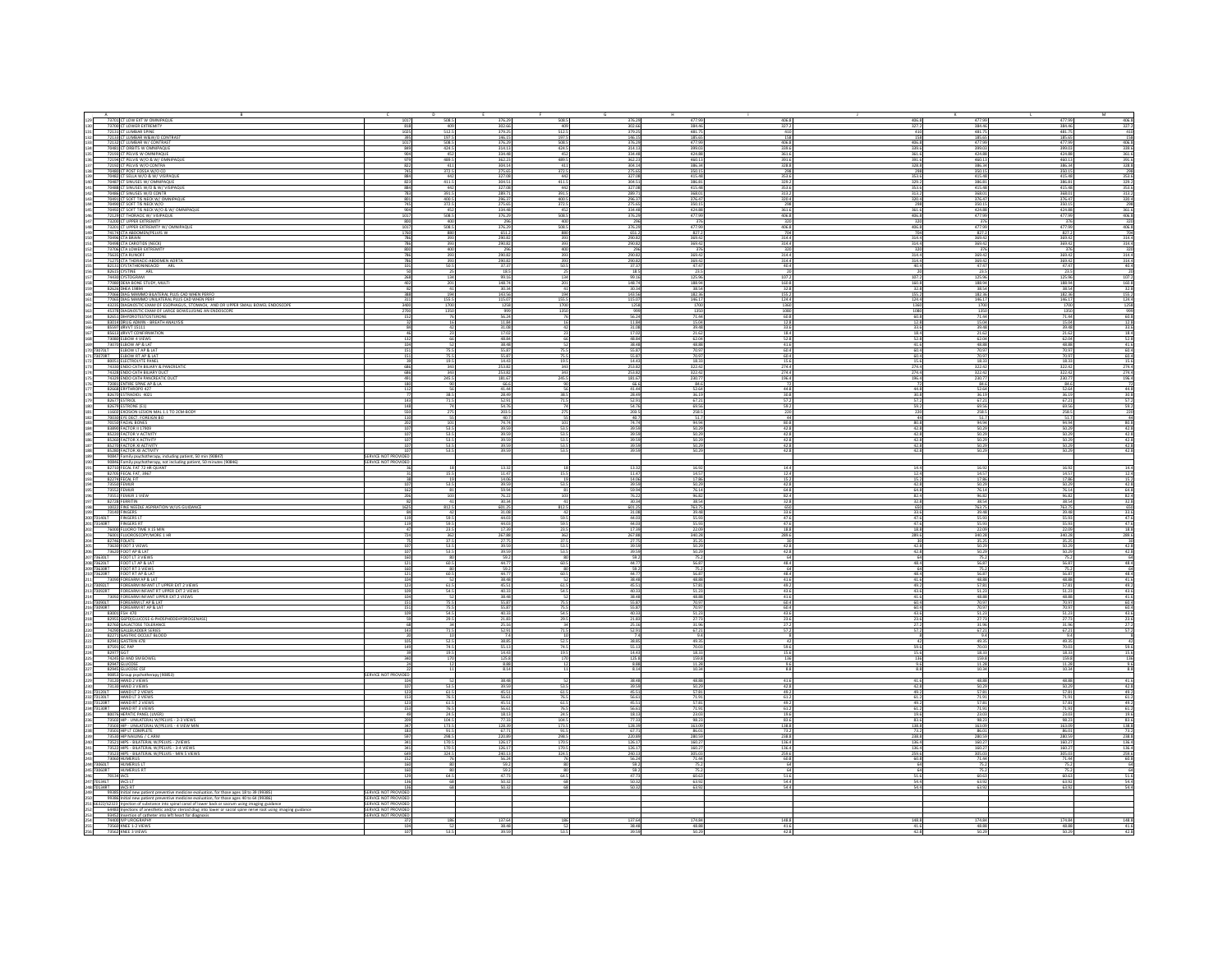| 73701 CT LOW EXT W OMNIPAQUE                                                                                                                                                 | 1017                                         | 508.5                                                            | 376.29                  | 508.5               | 376.29                               | 477.99                                                                          | 406.8                                                            | 406.8              | 477.99                  | 477.99                | 406.8                                                       |
|------------------------------------------------------------------------------------------------------------------------------------------------------------------------------|----------------------------------------------|------------------------------------------------------------------|-------------------------|---------------------|--------------------------------------|---------------------------------------------------------------------------------|------------------------------------------------------------------|--------------------|-------------------------|-----------------------|-------------------------------------------------------------|
| 73700 CT LOWER EXTREMITY<br>72131 CT LUMBAR SPINE                                                                                                                            | 818                                          | $\frac{409}{512.5}$                                              | 302.66<br>379.25        | 512                 |                                      | 384.46<br>481.7                                                                 |                                                                  | 327.               | 384.46<br>481.75        | 384.46<br>481.75      |                                                             |
| 72133 CT LUMBAR W&W/O CON                                                                                                                                                    |                                              | 197.5                                                            | 146.15                  | 197.                | 302 66<br>379.25<br>146 15           | 185.65                                                                          | $\begin{array}{r} 327.2 \\ \hline 410 \\ \hline 158 \end{array}$ |                    | 185.65                  | 185.65                | $\begin{array}{r} 327.2 \\ 410 \\ 158 \end{array}$          |
|                                                                                                                                                                              | 1017<br>849                                  | 508.5<br>424.5                                                   | 376.29<br>314.13        | 508.5<br>424        |                                      | 477.99<br>399.0                                                                 | 406.8<br>339.6                                                   | 406<br>339         | 477.99<br>399.03        | 477.99<br>399.03      | 406.8<br>339.6                                              |
| 72132 CT LUMBAR W/ CONTRAST<br>70481 CT ORBITS W OMNIPAQUE<br>72193 CT PELVIS W OMNIPAQUE<br>72194 CT PELVIS W/O & W/ OMNIPAQUE                                              |                                              | $452$<br>$489.5$                                                 | 334.48<br>362.23        | $\frac{452}{489.5}$ | 376.29<br>314.13<br>334.48<br>362.23 | 424.88<br>460.13                                                                | 361.6<br>391.6                                                   | $\frac{361}{391}$  | $424.88$<br>$460.13$    | 424.88<br>460.13      | 361.6<br>391.6                                              |
| 72192 CT PELVIS W/O CONTRA                                                                                                                                                   |                                              | $\frac{411}{372.5}$                                              | 304.14                  |                     | 304.14                               | 386.3                                                                           | 328.8                                                            | 328                | 386.34                  | 386.34                | 328.8                                                       |
| 70480 CT POST FOSSA W/O CO<br>70482 CT SELLA W/O & W/ VISIPAQUE                                                                                                              | 884                                          | 442                                                              | 275.65<br>327.08        | 372.5<br>44         | 275.65<br>327.08                     | 350.15<br>415.48                                                                | 298                                                              | 298<br>353.6       | 350.15<br>415.48        | 350.19<br>415.48      | $\frac{298}{353.6}$                                         |
| 70487 CT SINUSES W/ OMNIPAQUE<br>70488 CT SINUSES W/ OMNIPAQUE                                                                                                               | 823<br>884                                   | $\frac{411.5}{442}$                                              | 304.51                  | $\frac{4115}{443}$  | 304.51                               | 386.81<br>415.48                                                                | 329.2<br>353.6                                                   | 329.<br>353.       | 386.81<br>415.48        | 386.81<br>415.48      | 329.2<br>353.6                                              |
| 70486 CT SINUSES W/O CONTR                                                                                                                                                   |                                              | 391.5                                                            | 289.71                  | 391                 | 289.71                               | 368.0                                                                           | 313.2                                                            | 313                | 368.01                  | 368.01                | 313.2                                                       |
| 70491 CT SOFT TIS NECK W/OMNIPAQUE<br>70490 CT SOFT TIS NECK W/O                                                                                                             | 801<br>745                                   | 400.5<br>372.5                                                   | 296.37<br>275.65        | 400.5<br>372.5      | 296.37<br>275.65                     | 376.47<br>350.15                                                                | 320.4<br>298                                                     | 320                | 376.47<br>350.15        | 376.47<br>350.15      | 320.4<br>298                                                |
| 70492 CT SOFT TIS NECK W/O & W/ OMNIPAQUE<br>72129 CT THORACIC W/ VISIPAQUE                                                                                                  | 904                                          | $452$<br>508.5                                                   | 334.48                  | $\frac{452}{508.5}$ | 334.48                               | 424.88                                                                          | 361.6                                                            | 361.6              | 424.88                  | 424.88                | 361.6<br>406.8                                              |
| 73200 CT UPPER EXTREMITY                                                                                                                                                     |                                              |                                                                  |                         |                     | 296                                  |                                                                                 |                                                                  |                    | 376                     | 376                   | 320                                                         |
| 73201 CT UPPER EXTREMITY W/ OMNIPAQUE<br>74174 CTA ABDOMEN/PELVIS W                                                                                                          | 1017<br>1760                                 | 508.5<br>880                                                     | 376.29<br>651.2         | 508.5<br>880        | 376.29<br>651.2                      | 477.9<br>827.                                                                   | 406.8<br>704                                                     | 406.8              | 477.99<br>827.2         | 477.99<br>827.2       | 406.8<br>704                                                |
| 70496 CTA BRAIN<br>70498 CTA CAROTIDS (NECK)                                                                                                                                 | 786<br>786                                   | 393<br>393                                                       | 290.82                  | 393                 | 290.82                               | 369.42<br>369.42                                                                | 314.4<br>314.4                                                   | $314.4$<br>$314.4$ | 369.42<br>369.42        | 369.42<br>369.42      | 314.4<br>314.4                                              |
| 73706 CTA LOWER EXTREMITY                                                                                                                                                    | son                                          | 400                                                              | 296                     | 400                 | 796                                  | 37                                                                              | 320                                                              | 32                 | 376                     | 376                   | 320                                                         |
| 75635 CTA RUNOFF<br>71275 CTA RUNOFF<br>71275 CTA THORACIC-ABDOMEN AORTA                                                                                                     |                                              | 393<br>393                                                       | 290.82                  | 393<br>39           | 290.82                               | 369.42<br>369.42                                                                | $\frac{314.4}{314.4}$                                            | 314.4<br>314.4     | 369.42                  | 369.42<br>369.42      | $\frac{314.4}{314.4}$                                       |
| 82131 CYSTATHION IN EACID ARL                                                                                                                                                |                                              | 50.5                                                             | 37.37<br>18.5           | 50.5                | 37.37<br>18.5<br>99.16               | 47.47                                                                           | 40.4                                                             | 40.4               | 47.47<br>23.5           | 47.47<br>23.5         | $\frac{40.4}{20}$                                           |
| 82615 CYSTINE ARL<br>74430 CYSTOGRAM                                                                                                                                         | 268                                          | $rac{25}{134}$                                                   | 99.16                   |                     |                                      | 23.5                                                                            | $\frac{20}{107.2}$                                               | 107                | 125.96                  | 125.96                | 107.2                                                       |
| 77080 OEXA BONE STUDY, MULTI<br>87526 OHEA 19894<br>77066 OIAG MAMMO BILATERAL PLUS CAD WHEN PERFO<br>77065 OIAG MAMMO UNILATERAL PLUS CAD WHEN PERF                         |                                              | 201                                                              | 148.74<br>30.34         |                     | 148.74<br>30.34<br>143.56<br>115.07  | 188.94<br>38.54                                                                 | 160.8<br>32.8                                                    | 160.8              | 188.94<br>38.54         | 188.94<br>38.54       | 160.8<br>32.8                                               |
|                                                                                                                                                                              |                                              | 194<br>155.5                                                     | 143.56<br>115.07        | 19<br>155           |                                      | 182.36                                                                          | 155.2<br>124.4                                                   | $\frac{155}{124}$  | 182.36<br>146.17        | 182.36<br>146.17      | $\frac{155.2}{124.4}$                                       |
| .<br>43235 DIAGNOSTIC EXAM OF ESOPHAGUS, STOMACH, AND OR UPPER SMALL BOWEL ENDOSCOPE<br>45378 DIAGNOSTIC EXAM OF LARGE BOWELUSING AN ENDOSCOPE                               |                                              |                                                                  | 1258                    |                     | 1258                                 | 170                                                                             | 1360<br>1080                                                     |                    |                         | 1700                  | 1258                                                        |
| 82651 DIHYDROTESTOSTERONE                                                                                                                                                    | 2700<br>152                                  | 1350                                                             | $\frac{999}{56.24}$     | 135                 | $\frac{999}{56.24}$                  | $\frac{1350}{71.44}$                                                            | 60.8                                                             | 108<br>60.         | 1700<br>1350<br>71.44   | 1350<br>71.44         | $\frac{999}{60.8}$                                          |
| 83014 DRUG ADMIN - BREATH ANALYSIS<br>85597 dRVVT 15111                                                                                                                      | $\frac{32}{84}$                              |                                                                  | 11.84<br>31.08          |                     | 11.84<br>31.08                       | 15.04<br>39.48                                                                  | $\frac{12.8}{33.6}$                                              | $\frac{12}{33}$    | 15.04<br>39.48          | 15.04<br>39.48        | $\frac{12.8}{33.6}$                                         |
| 85613 dRVVT CONFIRMATION                                                                                                                                                     |                                              |                                                                  | 17.02                   |                     | 17.02                                | 21.6                                                                            | 18.4                                                             | 18.                | 21.62                   | 21.62                 | 18.4                                                        |
| 73080 ELBOW 4 VIEWS<br>73070 ELBOW AP & LAT                                                                                                                                  | 132<br>104                                   |                                                                  | 48.84<br>38.48          |                     | 48.84<br>38.48                       | 62.04<br>48.88                                                                  | 52.8<br>41.6                                                     | $\frac{52}{41}$    | 62.04<br>48.88          | $\frac{62.04}{48.88}$ | 52.8<br>41.6                                                |
| 070LT ELBOW LT AP & LA<br>73070RT ELBOW RT AP & LA                                                                                                                           | 151                                          | 75.5<br>75.5                                                     | 55.87<br>55.87          | 75.                 |                                      | 70.9<br>70.9                                                                    | $\frac{60.4}{60.4}$                                              | 60.4<br>60.4       | 70.97<br>70.97          | 70.97<br>70.97        | $\frac{60.4}{60.4}$                                         |
| 80051 ELECTROLYTE PANI                                                                                                                                                       |                                              | 19.5                                                             | 14.43                   |                     | 55.87<br>55.87<br>14.43              | 18.3                                                                            | 15.6                                                             |                    | 18.33                   | 18.33                 |                                                             |
| 74330 ENDO CATH BILIARY & PANCREATIO<br>74328 ENDO CATH BILIARY DUCT                                                                                                         | 686                                          | 343<br>343                                                       | 253.82<br>253.82        | 343<br>34           | 253.82<br>253.82                     | 322.4<br>322.4                                                                  | 274.4<br>274.4                                                   | 274<br>274         | 322.42<br>322.42        | 322.42<br>322.42      | 274.4<br>274.4                                              |
| 74329 ENDO CATH PANCREATIC DUC                                                                                                                                               | 491                                          | 245.5                                                            | 181.67                  | 245.5               | 181.67                               | 230.77<br>84.6                                                                  | 196.4                                                            | 196.4              | 230.77                  | $\frac{230.77}{84.6}$ | 196.4                                                       |
| 82668 ERYTHROPO 427                                                                                                                                                          |                                              |                                                                  | 66.6<br>41.44           |                     | 66.6<br>41.44                        | 52.64                                                                           | 44.8                                                             | 44.8               | 52.64                   | 52.64                 |                                                             |
| 82670 ESTRADIOL 4021                                                                                                                                                         |                                              | 38.5<br>71.5                                                     | 28.49<br>52.91          | 38.5<br>71.5        | 28.49                                | $\frac{36.19}{67.21}$                                                           | 30.8<br>57.2                                                     | 30.                | 36.19<br>67.21          | $\frac{36.19}{67.21}$ | 44.8<br>30.8<br>57.2                                        |
| 82679 ESTRONE (E1)<br>11602 EXOSION LESION MAL 1.1 TO 2CM-BODY<br>70030 EYE DECT: FOREIGN BO                                                                                 | 148                                          |                                                                  | 54.76<br>203.5          |                     | 54.76<br>203.5                       | 69.56<br>258.5                                                                  | $\frac{59.2}{220}$                                               | 59.                | 69.56<br>258.5          | 69.56<br>258.5        | 59.2<br>220                                                 |
|                                                                                                                                                                              |                                              |                                                                  | 40.7                    |                     | 40.7                                 | 51                                                                              | 44                                                               |                    | 51.7                    | 51.7                  |                                                             |
| 70150 FACIAL BONES<br>83890 FACTOR II 17909                                                                                                                                  |                                              | 53.5                                                             | 74.74<br>39.59          | $\frac{1}{53}$      | 74.74<br>39.59                       | 94.94<br>50.29                                                                  | $\frac{80.8}{42.8}$                                              | 80                 | 94.94<br>50.29          | 94.94<br>50.29        | $\frac{80.8}{42.8}$                                         |
| 85220 FACTOR V ACTIVITY<br>85260 FACTOR X ACTIVITY                                                                                                                           |                                              | 53.5<br>53.5                                                     | 39.59                   | 53<br>53            | 39.59                                | 50.29                                                                           | 42.8<br>42.8                                                     | 42.<br>42          | 50.29                   | $\frac{50.29}{50.29}$ | $\frac{42.8}{42.8}$                                         |
| 85270 FACTOR XI ACTIVIT                                                                                                                                                      |                                              | 53.5                                                             | 39.59<br>39.59          | 53.                 | 39.59                                | 50                                                                              | $\frac{42.8}{42.8}$                                              |                    | 50.29<br>50.29          | $\frac{50.29}{50.29}$ | 42.8                                                        |
| 85280 FACTOR XII ACTIVIT'<br>90847 Family psychotherapy, including patient, 50 min (90847)                                                                                   | SERVICE NOT PROVIDED                         | 53.5                                                             |                         | 53.                 | 39.59                                | 50.2                                                                            |                                                                  | 42.                |                         |                       | 42.8                                                        |
| 90846 Family psychotherapy, not including patient, 50 minutes (90846)<br>82710 FECAL FAT 72 HR QUANT                                                                         | SERVICE NOT PROVIDED                         |                                                                  | 13.32                   |                     | 13.32                                | 16.9                                                                            | $14.4\,$                                                         |                    | 16.92                   | 16.92                 | 14.4                                                        |
| 82705 FECAL FAT, 3967                                                                                                                                                        |                                              | 15.5                                                             | 11.47                   | 15.1                | 11.47                                | 14.5                                                                            | 12.4                                                             | 12.                | 14.57                   | 14.57                 | 12.4                                                        |
| 82274 FECAL FIT                                                                                                                                                              | 38<br>107                                    | $\frac{19}{53.5}$                                                | 14.06<br>39.59          |                     | 14.06<br>39.59                       | 17.86<br>50.29                                                                  | 15.2<br>42.8                                                     |                    | 17.86<br>50.29          | 17.86<br>50.29        | 15.2<br>42.8                                                |
|                                                                                                                                                                              | 162                                          | 81                                                               | 59.94                   |                     | 59.94                                | 76.1                                                                            | 64.8                                                             | 64.8<br>82.        | 76.14                   | 76.14                 |                                                             |
| 73552 FEMUR<br>73551 FEMUR 1 VIEW<br>82728 FERRITIN                                                                                                                          |                                              |                                                                  | 76.22<br>30.34          |                     | 76.22<br>30.34                       | 96.82                                                                           | $rac{824}{328}$                                                  |                    | 96.82<br>38.54          | 96.82<br>38.54        | $\frac{64.8}{82.4}$                                         |
| 10022 FINE NEEDLE ASPIRATION W/US GUIDANCE<br>73140 FINGERS                                                                                                                  |                                              | 812.5                                                            | 601.25<br>31.08         | 812.5               | 601.25                               | 763.7<br>39.4                                                                   | 650                                                              |                    | 763.75                  | 763.75<br>39.48       | 650                                                         |
| 3140LT FINGERS LT<br>3140RT FINGERS RT                                                                                                                                       | 119                                          | 59.5<br>59.5                                                     | 44.03                   | 59.5<br>59          | $\frac{31.08}{44.03}$                | 55.93<br>55.93                                                                  | 33.6<br>47.6<br>47.6                                             | 47                 | 39.48<br>55.93<br>55.93 | 55.93                 | 33.6<br>47.6<br>47.6                                        |
|                                                                                                                                                                              |                                              |                                                                  | 17.39                   | 23.                 | $\frac{17.39}{267.88}$               |                                                                                 | $\frac{18.8}{289.6}$                                             | 18                 | 22.09                   | 22.09                 | $\frac{18.8}{289.6}$                                        |
| 76000 FLUORO TIME X 15 MIN<br>76001 FLUOROSCOPY/MORE 1 H<br>82746 FOLATE                                                                                                     |                                              | $\begin{array}{r} 23.5 \\ \hline 362 \\ \hline 37.5 \end{array}$ | 267.88<br>27.7          | 36<br>37            | 27.7                                 | $\begin{array}{r}\n 22.09 \\  \hline\n 340.28 \\  \hline\n 35.25\n \end{array}$ |                                                                  | 289.               | 340.28<br>35.2          | 340.28                |                                                             |
| 73630 FOOT 3 VIEWS<br>73620 FOOT AP & LAT<br>73630LT FOOT LT 3 VIEWS                                                                                                         |                                              | 53.5<br>53.5                                                     | 39.59<br>39.59          | 53<br>53            | 39.59<br>39.59                       | 50.29                                                                           | $\frac{428}{428}$                                                | 42.                | 50.29<br>50.29          | 50.29                 | 42.8<br>42.8                                                |
|                                                                                                                                                                              |                                              | 80                                                               | 59.2                    |                     | 59.2                                 | 75.                                                                             | 64                                                               |                    | 75.2                    | 75.2                  | 64                                                          |
| 73620LT FOOT LT AP & LAT<br>73630RT FOOT RT 3 VIEWS                                                                                                                          |                                              | $rac{60.5}{80}$                                                  | 44.77<br>59.2           | 60                  | 44.77<br>59.2                        | 56.87                                                                           | $\frac{48.4}{64}$                                                | 48.                | 56.87                   | 56.87                 | $\frac{48.4}{64}$                                           |
| 73620RT<br>FOOT RT AP & LAT<br>73090 FOREARM AP & LA                                                                                                                         | 121                                          | 60.5                                                             | $\frac{44.77}{38.48}$   | 60.5                | $\frac{44.77}{38.48}$                | 56.87                                                                           | 48.4<br>41.6                                                     | 48.<br>41.         | 56.87<br>48.88          | $56.87$<br>$48.88$    | 48.4                                                        |
| 73092LT<br>73092LT FOREARM INFANT LT UPPER EXT 2 VIEWS<br>73092RT FOREARM INFANT RT UPPER EXT 2 VIEWS                                                                        | 123<br>109                                   | $\frac{61.5}{54.5}$                                              | 45.51                   | 61                  | 45.51                                | 57.8                                                                            | 49.2                                                             |                    | 57.81                   | 57.81                 | $\begin{array}{r} 41.6 \\ 49.2 \\ 43.6 \\ 41.6 \end{array}$ |
| 73092 FOREARM INFANT UPPER EXT 2 VIEWS                                                                                                                                       | 104                                          |                                                                  | 40.33<br>38.48          | 54.5                | 40.33<br>38.48                       | $\frac{51.23}{48.88}$                                                           | 43.6<br>41.6                                                     | 43.6<br>41.6       | 51.23<br>48.88          | 51.23<br>48.88        |                                                             |
| FOREARM LT AP & LAT<br>73090RT FOREARM RT AP & LAT                                                                                                                           | 151<br>151                                   | 75.5<br>75.5                                                     | 55.87                   | 75.<br>75.          | 55.87<br>55.87                       | 70.97<br>70.97                                                                  | $rac{60.4}{60.4}$                                                | $rac{60}{60}$      | 70.97<br>70.97          | 70.97                 | $\frac{60.4}{60.4}$                                         |
| 83001 FSH 470                                                                                                                                                                |                                              | 54.5                                                             | 40.33                   | 54.5                | 40.33                                | 51.2                                                                            | 43.6                                                             | 43.                | 51.23                   | 51.23                 | 43.6                                                        |
| 83001 FSH 470<br>82955 G6PD(GLUCOSE-6-PHOSPHODEHYDROGENASE)<br>82760 GALACTOSE TOLERANCE                                                                                     |                                              | 29.5<br>34                                                       | 21.83<br>25.16          | 29.5                | 21.83<br>25.16                       | 27.73                                                                           | $\frac{23.6}{27.2}$                                              | $^{23}$            | 27.73<br>31.96          | $\frac{27.73}{31.96}$ | $\frac{23.6}{2}$<br>27.2                                    |
| 74290 GALLBLADDER SERIES<br>82271 GASTRIC OCCULT BLOOD<br>82941 GASTRIN 478                                                                                                  | 143                                          | 71.5                                                             | 52.91                   | 715                 | 52.91                                | $67.21$<br>9.4                                                                  | 57.2                                                             | 57                 | 67.21                   | 67.21                 | $\begin{array}{r} 57.2 \\ 8 \end{array}$                    |
|                                                                                                                                                                              |                                              | 52.5<br>74.5                                                     | 38.85<br>55.13          | 52.<br>74           | 38.85                                | 49.35                                                                           | 42<br>59.6                                                       |                    | $\frac{9.4}{49.35}$     | 49.35<br>70.03        |                                                             |
| 87591 GC PAP                                                                                                                                                                 |                                              | $\frac{19.5}{170}$                                               | 14.43                   | 19                  | 55.13<br>14.43                       | 70.0<br>18.3                                                                    |                                                                  |                    | 70.03<br>18.33          | 18.33                 |                                                             |
| 82977<br>82977<br>74245 GLAND SM BOWEL<br>82947 GLUCOSE                                                                                                                      |                                              |                                                                  | $\frac{125.8}{8.88}$    |                     | $\frac{125.8}{8.88}$                 | $\frac{159.8}{11.28}$                                                           | $\frac{15.6}{136}$                                               |                    | 159.8<br>11.28          | $\frac{159.8}{11.28}$ | 59.6<br>15.6<br>136<br>9.6                                  |
| 82945 GLUCOSE CSF<br>90853 Group psychotherapy (90853)<br>73120 HAND 2 VIEWS                                                                                                 |                                              |                                                                  | 8.14                    |                     | 8.14                                 | 10.34                                                                           | 8.8                                                              |                    | 10.34                   | 10.34                 | 8.8                                                         |
|                                                                                                                                                                              | SERVICE NOT PROVIDED                         |                                                                  | 38.48                   |                     | 38.48                                | 48.83                                                                           | 41.6                                                             | 41                 | 48.88                   | 48.88                 | 41.6                                                        |
| 73130 HAND 3 VIEWS<br>3120LT HAND LT 2 VIEW                                                                                                                                  |                                              | 53.5<br>61.5                                                     | 39.59<br>45.51          | $\frac{53}{61}$     | 39.59<br>45.51                       | 50.29<br>57.81                                                                  | $42.8$<br>$49.2$                                                 | $rac{42}{49}$      | 50.29<br>57.81          | $\frac{50.29}{57.81}$ | 42.8<br>49.2                                                |
| 3130LT<br>HAND LT 3 VIEWS                                                                                                                                                    | 153                                          | 76.5                                                             | 56.61                   | 76.                 | 56.61                                | 71.9                                                                            | 61.2                                                             | 61.                | 71.91                   | 71.91                 |                                                             |
| <b>73120RT HAND RT 2 VIEWS<br/>73130RT HAND RT 3 VIEWS</b>                                                                                                                   |                                              | $\frac{61.5}{76.5}$                                              | 45.51<br>56.61          | $\frac{615}{765}$   | 45.51<br>56.61                       | 57.81<br>71.91                                                                  | $\frac{49.2}{61.2}$                                              | $\frac{49}{61}$    | 57.81<br>71.91          | 57.81<br>71.91        | $61.2$<br>$49.2$<br>$61.2$                                  |
| 80076 HEPATIC PANEL (LIVER<br>73502 HIP - UNILATERAL W/PELVIS - 2-3 VIEWS                                                                                                    | 209                                          | 24.5<br>104.5                                                    | 18.13<br>77.33          | 24<br>104.5         | 18.13<br>77.33                       | 23.0<br>98.2                                                                    | 19.6<br>83.6                                                     | 19.<br>83.6        | 23.03<br>98.23          | 23.03<br>98.23        | 19.6                                                        |
| UNILATERAL W/PELVIS - 4 VIEW M<br>73503 HIR                                                                                                                                  | 347                                          | 173.5                                                            | 128.39                  | 173.5               | 128.39                               | 163.09                                                                          | 138.8                                                            | 138.8              | 163.09                  | 163.09                | 83.6<br>138.8                                               |
| 73501 HIP LT COMPLETE<br>73530 HIP NAILING / CARN                                                                                                                            | 183<br>597                                   | 91.5<br>298.5                                                    | 67.71<br>220.89         | $\frac{915}{2985}$  | 67.71<br>220.89                      | 86.0<br>280.59                                                                  | 73.2<br>238.8                                                    | 73.<br>238.8       | 86.01<br>280.59         | 86.01<br>280.59       | 73.2<br>238.8<br>136.4<br>136.4                             |
| 73521 HIPS - BILATERAL W/PELVIS - ZVIEWS<br>73522 HIPS - BILATERAL W/PELVIS - 3-4 VIEWS                                                                                      | $\frac{341}{341}$                            | $\frac{170.5}{170.5}$                                            | $\frac{126.17}{126.17}$ | 170.5<br>170.5      | $\frac{126.17}{126.17}$              | $\frac{160.2}{160.2}$                                                           | 136.4<br>136.4                                                   | 136.4<br>136.4     | 160.27                  | 160.27<br>160.27      |                                                             |
| 73523 HIPS - BILATERAL W/PELVIS - MIN 5 VIEWS                                                                                                                                | 649                                          | 324.5                                                            | 240.13                  | 324.5               | 240.13                               | 305.03                                                                          | 259.6                                                            | 259.6              | 305.03                  | 305.03                | 259.6                                                       |
| 73060 HUMERUS<br>SOSOLT HUMERUS                                                                                                                                              | 152                                          |                                                                  | 56.24<br>59.2           |                     | 56.24<br>59.2                        | 71.44                                                                           | 60.8<br>64                                                       | 60.8               | 71.44<br>75.2           | 71.44<br>75.2         | 60.8<br>64                                                  |
| 73060RT HUMERUS RT<br>70134 IACS<br>70134LT IACS LT                                                                                                                          | 160                                          | $\frac{80}{64.5}$                                                | 59.2<br>47.73           | 64                  | 59.2<br>47.73<br>50.32               | $\frac{75.2}{60.63}$                                                            | $rac{64}{51.6}$                                                  |                    | $\frac{75.2}{60.63}$    | $\frac{75.2}{60.63}$  | $\frac{64}{51.6}$                                           |
|                                                                                                                                                                              |                                              |                                                                  | 50.32<br>50.32          |                     | 50.32                                | 63.92<br>63.9                                                                   | 54.4                                                             | 54,                | 63.92<br>63.92          | 63.92<br>63.92        | 54.4                                                        |
| 70134RT   IACS RT                                                                                                                                                            | SERVICE NOT PROVIDE                          |                                                                  |                         |                     |                                      |                                                                                 |                                                                  |                    |                         |                       |                                                             |
|                                                                                                                                                                              | SERVICE NOT PROVIDED<br>SERVICE NOT PROVIDED |                                                                  |                         |                     |                                      |                                                                                 |                                                                  |                    |                         |                       |                                                             |
| 64483 Injections of anesthetic and/or steroid drug into lower or sacral spine nerve root using imaging guidance<br>93452 Insertion of catheter into left heart for diagnosis | SERVICE NOT PROVIDED                         |                                                                  |                         |                     |                                      |                                                                                 |                                                                  |                    |                         |                       |                                                             |
| 74400 IVP UROGRAPHY                                                                                                                                                          |                                              | 186                                                              | 137.64                  |                     | 137.64                               | 174.8                                                                           | 148.8                                                            | 148.               | 174.84                  | 174.84                | 148.8                                                       |
| 73560 KNEE 1-2 VIEWS<br>73562 KNEE 3 VIEWS                                                                                                                                   | 104                                          |                                                                  | 38.48                   |                     | 38.48                                | 48.88                                                                           | $rac{41.6}{43.6}$                                                | 41                 | 48.88                   | 48.88                 | $\frac{41.6}{42.8}$                                         |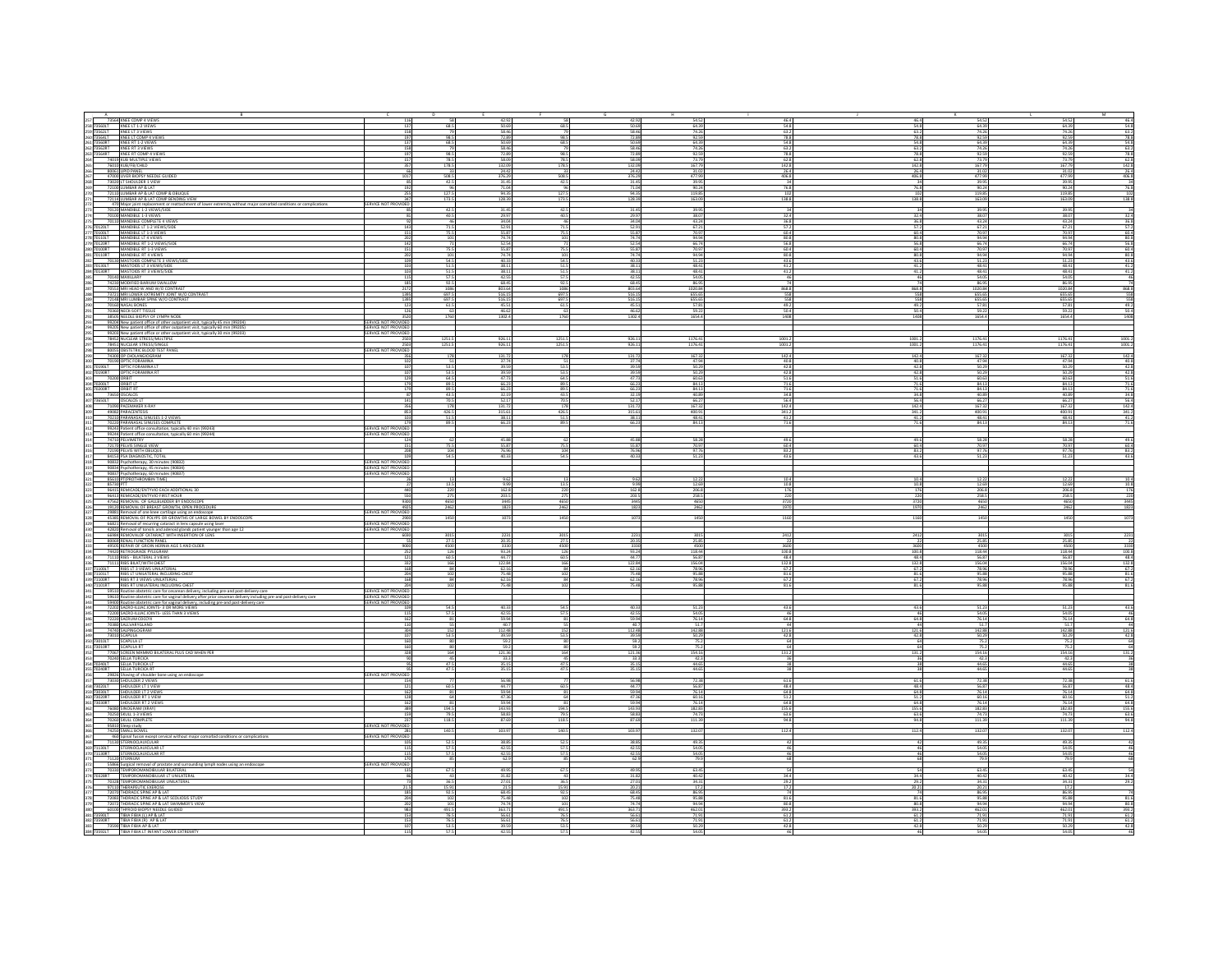| 73564 KNEE COMP 4 VIEWS<br>116                                                                                                                                                                                                                               | 58                         | 42.92                                                                           |                     | 42.92                                                                           | 54.52                                                                        | 46.4                | 46.4                  | 54.52                 | 54.52                    | M<br>46.4                                                      |
|--------------------------------------------------------------------------------------------------------------------------------------------------------------------------------------------------------------------------------------------------------------|----------------------------|---------------------------------------------------------------------------------|---------------------|---------------------------------------------------------------------------------|------------------------------------------------------------------------------|---------------------|-----------------------|-----------------------|--------------------------|----------------------------------------------------------------|
| 137                                                                                                                                                                                                                                                          | 68.5                       |                                                                                 | 68.5                |                                                                                 | 64.39                                                                        | 54.8                | 54.8                  | 64.39<br>74.26        | 64.39                    | 54.8                                                           |
| 73560LT KNEE LT 1-2 VIEWS<br>73562LT KNEE LT 3 VIEWS<br>158                                                                                                                                                                                                  |                            | 50.69<br>58.46                                                                  |                     | 50.69<br>58.46                                                                  | 74.26                                                                        | $\frac{63.2}{78.8}$ | 63.2                  |                       |                          | 63.2<br>78.8                                                   |
| 3564LT<br>197<br>KNEE LT COMP 4 VIEW<br>73560RT KNEE RT 1-2 VIEWS<br>137                                                                                                                                                                                     | 98.5<br>68.5               | 72.89                                                                           | 98<br>68.5          | 72.89                                                                           | 92.59                                                                        | 54.8                | 78.8<br>54.8          | 92.59<br>64.39        | 92.55                    |                                                                |
| 73562RT<br>73562RT KNEE RT 3 VIEWS<br>73564RT KNEE RT COMP 4 VIEWS<br>74019 KUB MULTIPLE VIEWS<br>158                                                                                                                                                        |                            | 50.69<br>58.46<br>72.89<br>58.09                                                |                     | $\frac{50.69}{58.46}$ $\frac{72.89}{58.09}$                                     | 64.39<br>74.26<br>92.59<br>73.79                                             | $\frac{63.2}{78.8}$ | 63.2                  | 74.26                 | 64.39                    | $\frac{54.8}{63.2}$<br>78.8<br>62.8                            |
|                                                                                                                                                                                                                                                              | 98.5<br>78.5               |                                                                                 | $\frac{98}{78}$     |                                                                                 |                                                                              |                     | $\frac{78.8}{62.8}$   | 92.59                 | 92.55                    |                                                                |
| 76010 KUB/FB/CHILD                                                                                                                                                                                                                                           | 178.5                      | 132.09                                                                          | 178                 | 132.09                                                                          | 167.79                                                                       | 142.8               | 142.8                 | 167.79                | 167.7                    | 142.8                                                          |
| S0061 LIPID PANEL<br>47000 LIVER BIOPSY NEEDLE GUIDED<br>1017                                                                                                                                                                                                | 508.5                      | 24.42<br>376.29                                                                 | 508.5               | 24.42<br>376.29                                                                 | 31.02<br>477.99                                                              | 26.4<br>405.8       | 26.4<br>406.8         | 31.02<br>477.99       | 31.0<br>477.9            | 26.4<br>406.8                                                  |
| 73020 LT SHOULDER 1 VIEW<br>72100 LUMBAR AP & LAT<br>85<br>197                                                                                                                                                                                               | $42.5$<br>96               | 31.45                                                                           | 42                  | 31.45<br>71.04                                                                  | 39.95<br>90.24                                                               |                     |                       | 39.95<br>90.24        | 39.95                    |                                                                |
|                                                                                                                                                                                                                                                              |                            |                                                                                 |                     |                                                                                 |                                                                              | $\frac{34}{76.8}$   | $\frac{34}{76.8}$     |                       |                          | $\frac{34}{76.8}$                                              |
| 72110 LUMBAR AP & LAT COMP & OBLIQUE                                                                                                                                                                                                                         | 127.5<br>173.5             | 94.35<br>128.39                                                                 | 127.<br>173         | 94.35<br>128.39                                                                 | 119.85<br>163.09                                                             | 102<br>138.8        | 10<br>138.8           | 119.85<br>163.09      | 119.89<br>163.09         | 102<br>138.8                                                   |
| 72114 LUMBAR AP & LAT COMP BENDING VIEW<br>72114 LUMBAR AP & LAT COMP BENDING VIEW<br>470 Major joint replacement or reattachment of lower extremity without major comorbid conditions or complica<br>SERVICE NOT PROVIDED                                   |                            |                                                                                 |                     |                                                                                 |                                                                              |                     |                       |                       |                          |                                                                |
| 70120 MANDIBLE 1-2 VIEWS/<br>70100 MANDIBLE 1-3 VIEWS<br>MDIBLE 1-2 VIEWS/SIDE<br>$\overline{81}$                                                                                                                                                            | 42.5<br>40.5               | 31.45<br>29.97                                                                  | 42<br>405           | 31.45<br>29.97                                                                  | 39.95<br>38.07                                                               | 32.4                | 32.4                  | 39.95<br>38.07        | 39.95                    |                                                                |
| 70110 MANDIBLE COMPLETE 4 VIEWS                                                                                                                                                                                                                              | 46                         | 34.04                                                                           |                     | 34.04                                                                           | 43.24                                                                        | 36.8                | 36.8                  | 43.24                 | 43.24                    | $\frac{34}{32.4}$<br>36.8                                      |
| 70120LT MANDIBLE LT 1-2 VIEWS/SIDE<br>143<br>70100LT MANDIBLE LT 1-3 VIEWS<br>151                                                                                                                                                                            | 71.5<br>75.5               | 52.91<br>55.87                                                                  | 71.5<br>75.5        | 52.91<br>55.87                                                                  | 67.21<br>70.97                                                               | 57.2<br>60.4        | 57.2<br>60.4          | 67.21<br>70.97        | 67.21<br>70.97           | 57.2                                                           |
|                                                                                                                                                                                                                                                              | 101                        |                                                                                 |                     |                                                                                 |                                                                              |                     |                       |                       |                          | $\frac{60.4}{80.8}$                                            |
| 0110LT<br>0120RT<br>MANDIBLE LT 4 VIEWS<br>MANDIBLE RT 1-2 VIEWS/SIDE                                                                                                                                                                                        |                            | 74.74<br>52.54                                                                  |                     | 74.74<br>52.54                                                                  | 94.94<br>66.74                                                               | 80.8<br>56.8        | 80.8<br>56.8          | 94.94<br>66.74        | 94.94<br>66.74           |                                                                |
| 70100RT MANDIBLE RT 1-3 VIEWS<br>151                                                                                                                                                                                                                         | 75.5                       | 55.87                                                                           | 751                 | 55.87                                                                           | 70.97                                                                        | 60.4                | 60.4                  | 70.97                 | 70.97                    | 60.4                                                           |
| 0110RT MANDIBLE RT 4 VIEWS<br>70130 MASTOIDS COMPLETE 3 VIEWS/SIDE<br>202<br>109                                                                                                                                                                             | $\frac{101}{54.5}$         | $\frac{74.74}{40.33}$                                                           | 101<br>54.5         | 74.74                                                                           | 94.94<br>51.23                                                               | 80.8<br>43.6        | 80.8<br>43.6          | 94.94<br>51.23        | 94.94<br>51.2            | $\frac{80.8}{43.6}$                                            |
| 70130LT<br>10130LT MASTOIDS LT 3 VIEWS/SIDE<br>10130RT MASTOIDS RT 3 VIEWS/SIDE<br>103                                                                                                                                                                       | 51.5<br>515                | 38.11<br>38.11                                                                  | 51<br>51.           | 38.11<br>38.11                                                                  | 48.43<br>48.41                                                               | 41.2                | 41.2<br>412           | 48.43<br>48.41        | 48.41<br>$-48.41$        |                                                                |
| 70140 MAXILLARY                                                                                                                                                                                                                                              | 57.5                       | 42.55                                                                           | 57.                 | 42.55                                                                           | 54.05                                                                        | $\frac{41.2}{46}$   |                       | 54.05                 | 54.0                     | $\begin{array}{r} 41.2 \\ 41.2 \\ 46 \end{array}$              |
| 74230 MODIFIED BARIUM SWALLOW<br>185                                                                                                                                                                                                                         | 92.5                       | 68.45                                                                           | 925                 | 68.45                                                                           | 86.95                                                                        | 74                  |                       | 86.95                 | 86.9                     |                                                                |
| 73321 MRI HEAD WAND WAS CONTRAST<br>73721 MRI LOWER EXTREMITY JOINT W/O CONTRAST<br>73721 MRI LUMBAR SPINE W/O CONTRAST<br>2172                                                                                                                              | 1086                       | 803.64                                                                          | 108                 | 803.64                                                                          | 1020.84                                                                      | 868.8               | 868.8                 | 1020.84               | 1020.84                  | 868.8                                                          |
| 1395<br>1395                                                                                                                                                                                                                                                 | 697.5                      | 516.15<br>516.15                                                                | 697.5               | 516.15<br>516.15                                                                | 655.65                                                                       | 558<br>558          | $rac{558}{558}$       | 655.65                | 655.65                   | $rac{558}{558}$                                                |
| 70160 NASAL BONES                                                                                                                                                                                                                                            | 615                        | 45.51                                                                           | 61                  | 45.51                                                                           | 57.81                                                                        | 49.2                | 49.7                  | 57.81                 | 578                      | 49.2                                                           |
| 70360 NECK-SOFT TISSUE<br>38505 NEEDLE BIOPSY OF LYMPH NODE<br>3520                                                                                                                                                                                          | 1760                       | 46.62<br>1302.4                                                                 | 1760                | 46.62<br>1302.4                                                                 | 59.22<br>1654.4                                                              | 50.4<br>1408        | 50.4<br>1408          | 59.22<br>1654.4       | 59.2<br>1654.4           | $\frac{50.4}{1408}$                                            |
| -<br>99204 New patient office of other outpatient visit, typically 45 min (99204)<br>99205 New patient office of other outpatient visit, typically 60 min (99205)<br>SERVICE NOT PROVIDED                                                                    |                            |                                                                                 |                     |                                                                                 |                                                                              |                     |                       |                       |                          |                                                                |
| 99203 New patient office or other outpatient visit, typically 30 min (99203)<br>SERVICE NOT PROVIDED                                                                                                                                                         |                            |                                                                                 |                     |                                                                                 |                                                                              |                     |                       |                       |                          |                                                                |
| 78452 NUCLEAR STRESS/MULTIPLE<br>78451 NUCLEAR STRESS/SINGLE<br>-250                                                                                                                                                                                         | 1251.5                     | 926.11<br>926.11                                                                | 1251.5<br>1251.5    | 926.11<br>926.11                                                                | 1176.41                                                                      | 10012               | 1001.2                | 1176.41<br>1176.41    | 1176.41                  | 1001.2                                                         |
| 2503<br>80055 OBSTETRIC BLOOD TEST PANEL<br>SERVICE NOT PROVIDED                                                                                                                                                                                             | 1251.5                     |                                                                                 |                     |                                                                                 | 1176.41                                                                      | 1001.2              | 1001.2                |                       | 1176.4                   | 1001.2                                                         |
| 74300 OP CHOLANGIOGRAM<br>356                                                                                                                                                                                                                                | 178                        | 131.72                                                                          |                     | 131.72<br>37.74                                                                 | 167.32                                                                       | 142.4               | 142.4                 | 167.32                | 167.3                    | $\frac{142.4}{40.8}$                                           |
| 70190 OPTIC FORAMINA<br>102                                                                                                                                                                                                                                  | 51                         | 37.74                                                                           |                     |                                                                                 | 47.94                                                                        | 40.8                | 40.8                  | 47.94                 | 47.9                     |                                                                |
| 70190LT OPTIC FORAMINA LT<br>107<br>70190RT OPTIC FORAMINA RT<br>107                                                                                                                                                                                         | 53.5<br>53.5               | 39.59<br>39.59                                                                  | 53.5<br>53          | 39.59<br>39.59                                                                  | 50.29<br>50.29                                                               | 42.8<br>42.8        | 42.8<br>42.8          | 50.29<br>50.29        | 50.29<br>50.2            | 42.8                                                           |
|                                                                                                                                                                                                                                                              | 64.5<br>89.5               | 47.73                                                                           | 64                  | 47.73                                                                           | 60.63<br>84.13                                                               | $\frac{516}{716}$   |                       | 60.63                 | 60.6                     | 42.8<br>51.6<br>51.6<br>71.6<br>34.8                           |
| 0200RT ORBITRT<br>179                                                                                                                                                                                                                                        | 89.5                       | 66.23                                                                           | 89.5                | 66.23                                                                           | 84.13                                                                        | 71.6                | 71.6                  | 84.13                 | 84.1                     |                                                                |
| 73650 OSCALCIS                                                                                                                                                                                                                                               |                            | 32.19                                                                           | 43.5                | 32.19                                                                           | 40.89                                                                        | 34.8                | 34.8                  | 40.89                 | 40.89                    |                                                                |
| 3650LT OSCALCIS LT<br>141                                                                                                                                                                                                                                    | $\frac{43.5}{70.5}$<br>178 | 52.17                                                                           | 70.                 | 52.17                                                                           | 66.27                                                                        | 56.4                | 56.4                  | 66.27                 | 66.2                     | 56.4                                                           |
| 71090 PACEMAKER X-RAY<br>356                                                                                                                                                                                                                                 |                            | 131.72<br>315.61                                                                | $\frac{178}{426.5}$ | 131.72<br>315.61<br>38.11                                                       | 167.32<br>400.91                                                             | 142.4<br>341.2      | $\frac{142.4}{341.2}$ | 167.32<br>400.91      | 167.3<br>2009            |                                                                |
| 70210 PARANASAL SINUSES 1-2 VIEWS                                                                                                                                                                                                                            | 426.5<br>51.5              | 38.11                                                                           | 51                  |                                                                                 | 48.41                                                                        | 41.2                | 41.2                  | 48.41                 | 48.4                     | 142.4<br>341.2<br>41.2                                         |
| 70220 PARANASAL SINUSES COMPLETE<br>99243 Patient office consultation, typically 40 min (99243)                                                                                                                                                              | 89.5                       | 66.23                                                                           | 89                  | 66.23                                                                           | 84.13                                                                        | 71.6                | 71.6                  | 84.13                 | 84.13                    | 71.6                                                           |
| SERVICE NOT PROVIDED<br>99244 Patient office consultation, typically 60 min (99244)<br>74710 PELVIMETRY                                                                                                                                                      |                            |                                                                                 |                     |                                                                                 |                                                                              |                     |                       |                       |                          |                                                                |
| 72170 PELVIS SINGLE VIEW<br>151                                                                                                                                                                                                                              | 75.5                       | 45.88<br>55.87                                                                  | 75                  | 45.88<br>55.87                                                                  | 58.28<br>70.97                                                               | 49.6<br>60.4        | 49.6<br>60.4          | 58.28<br>70.97        | 58.28<br>70.97           | 49.6                                                           |
| 72190 PELVIS WITH OBLIQUE<br>208                                                                                                                                                                                                                             | 104                        | 76.96                                                                           | 104                 | 76.96                                                                           | 97.76                                                                        | 83.2                | 83.2                  | 97.76                 | 97.76                    | 60.4                                                           |
| 84153 PSA DIAGNOSTIC, TOTAL                                                                                                                                                                                                                                  | 54.5                       | 40.33                                                                           | 54.5                | 40.33                                                                           | 51.23                                                                        | 43.6                | 43.6                  | 51.23                 | 51.23                    | $\frac{83.2}{43.6}$                                            |
| 90832 Psychotherapy, 30 minutes (90832)<br>90834 Psychotherapy, 45 minutes (90834)<br>SERVICE NOT PROVIDED                                                                                                                                                   |                            |                                                                                 |                     |                                                                                 |                                                                              |                     |                       |                       |                          |                                                                |
| 90837 Psychotherapy, 60 minutes (90837)<br>SERVICE NOT PROVIDED                                                                                                                                                                                              |                            |                                                                                 |                     |                                                                                 |                                                                              |                     |                       |                       |                          |                                                                |
| 85610 PT(PROTHROMBIN TIME)<br>85730 PTT<br>27                                                                                                                                                                                                                | $\frac{13}{13.5}$          | $\frac{9.62}{9.99}$                                                             | 13.5                | 9.62<br>9.99                                                                    | 12.2<br>12.69                                                                | $\frac{10.4}{10.8}$ | 10.4<br>10.8          | 12.22<br>12.69        | 12.27<br>12.69           | 10.4<br>10.8<br>176<br>220<br>3445                             |
| 96415 REMICADE/ENTYVIO EACH ADDITIONAL 30<br>440                                                                                                                                                                                                             | 220                        | 162.8                                                                           | 22                  | 162.8                                                                           | 206.8                                                                        | 176                 | 176                   | 206.8                 | 206.8                    |                                                                |
| 96413 REMICADE/ENTYVIO FIRST HOUR<br>47562 REMOVAL OF GALLBLADDER BY ENDOSCOPE                                                                                                                                                                               | 275<br>4650                | $\frac{203.5}{3445}$                                                            |                     | $\frac{203.5}{3445}$                                                            | 258.5                                                                        | 220                 | 220                   | 258.5                 | 258.5                    |                                                                |
| 9300<br>19120 REMOVAL OF BREAST GROWTH, OPEN PROCEDURE                                                                                                                                                                                                       | 2462                       | 1823                                                                            | 4650<br>2462        | 1823                                                                            | 4650<br>2462                                                                 | 3720<br>1970        | 3720<br>1970          | 4650<br>2462          | 4650<br>2462             | 1823                                                           |
| 29881 Removal of one knee cartilage using an endoscope<br>45385 REMOVAL OF POLYPS OR GROWTHS OF LARGE BOWEL BY ENDOSCOPE<br>66821 Removal of recurring cataract in lens capsule using laser<br>SERVICE NOT PROVIDED                                          |                            |                                                                                 |                     |                                                                                 |                                                                              |                     |                       |                       |                          |                                                                |
| 2900<br>SERVICE NOT PROVIDED                                                                                                                                                                                                                                 | 1450                       | 1073                                                                            | 149                 | 1073                                                                            | 1450                                                                         | 1160                | 1160                  | 1450                  | 1450                     | 1073                                                           |
| 42820 Removal of tonsils and adenoid glands patient younger than age 12<br>66984 REMOVALOF CATARACT WITH INSERTION OF LENS<br>SERVICE NOT PROVIDED                                                                                                           |                            |                                                                                 |                     |                                                                                 |                                                                              |                     |                       |                       |                          |                                                                |
| 6030                                                                                                                                                                                                                                                         | 3015                       | 2231<br>20.3                                                                    | 301<br>27.          | 2231<br>20.3                                                                    | 3019<br>25.85                                                                | 2412                | 2412                  | 3015<br>25.85         | 301<br>25.8              | 2231                                                           |
| 80069 RENAL FUNCTION PANEL<br>49505 REPAIR OF GROIN HERNIA AGE 5 AND OLDER<br>74420 RETROGRADE PYLEGRAM<br>9000                                                                                                                                              | 4500                       |                                                                                 | 450                 |                                                                                 | 450                                                                          | 3600                | 3600                  |                       |                          | 3330                                                           |
|                                                                                                                                                                                                                                                              |                            | 3330<br>93.24                                                                   |                     | 3330<br>93.24                                                                   | 118.44                                                                       | 100.8               | 100.8                 | 118.44                | 118.44                   | 100.8                                                          |
| 71110 RIBS - BILATERAL 3 VIEWS<br>121                                                                                                                                                                                                                        | 60.5                       | 44.77                                                                           | 60.5                | 44.77                                                                           | 56.87                                                                        | 48.4<br>1328        | 48.4<br>132.8         | 56.87                 | 56.87                    | 48.4                                                           |
| 71111 RIBS BILAT/WITH CHEST<br>71100LT RIBS LT 3 VIEWS UNILATERIAL<br>71101LT RIBS LT 3 VIEWS UNILATERIAL<br>71101LT RIBS LT UNILATERAL INCLUDING CHEST<br>71100RT RIBS RT 3 VIEWS UNILATERIAL                                                               | 166<br>84                  | $\frac{122.84}{62.16}$                                                          |                     | $\frac{12284}{62.16}$                                                           | 156.04<br>78.96<br>95.88                                                     | $rac{67.2}{81.6}$   |                       | 156.04<br>78.96       | 156.04<br>78.96<br>95.88 | $\begin{array}{r} 132.8 \\ 67.2 \\ 81.6 \end{array}$           |
|                                                                                                                                                                                                                                                              |                            | 62.16                                                                           |                     | 62.16                                                                           | 78.96                                                                        | 67.2                | 81.6<br>67.2          | 95.88<br>78.96        | 78.96                    | 67.2                                                           |
| 1101RT RIBS RT UNILATERAL INCLUDING CHEST<br>204                                                                                                                                                                                                             | 102                        | 75.48                                                                           |                     | 75.48                                                                           | 95.88                                                                        | 81.6                | 81.6                  | 95.88                 | 95.88                    | 81.6                                                           |
| SERVICE NOT PROVIDED<br>59510 Routine obstetric care for cesarean delivery, including pre-and post-delivery care<br>SERVICE NOT PROVIDED                                                                                                                     |                            |                                                                                 |                     |                                                                                 |                                                                              |                     |                       |                       |                          |                                                                |
| 59610 Routine obstetric care for vaginal delivery after prior cesarean delivery including pre-and post-delivery care<br>59400 Routine obstetric care for vaginal delivery, including pre-and post-delivery care<br>72202 [SACRO-ILLI<br>SERVICE NOT PROVIDED |                            |                                                                                 |                     |                                                                                 |                                                                              |                     |                       |                       |                          |                                                                |
|                                                                                                                                                                                                                                                              |                            | 40.33                                                                           | 543                 | 40.3                                                                            | 51.2                                                                         | 43.6                | 43.6                  | 51.2                  | 51.2                     | 43.6                                                           |
| 72200 SACRO-ILLIAC JOINTS- LESS THAN 3 VIEWS<br>115<br>72220 SACRUM COCCYX<br>162                                                                                                                                                                            | 57.5<br>81                 | 42.55<br>59.94                                                                  | 57.5<br>- 8         | 42.55<br>59.94                                                                  | 54.05<br>76.14                                                               | 46<br>64.8          | 64.8                  | 54.05<br>76.14        | 54.05<br>76.14           | 46<br>64.8                                                     |
| 70380 SALLVARYGLAND<br>74740 SALPINGOGRAM<br>110                                                                                                                                                                                                             |                            | 40.7                                                                            |                     | 40.7                                                                            | 51.                                                                          |                     |                       | 51.7                  | 51.                      |                                                                |
| 304<br>107                                                                                                                                                                                                                                                   | 152<br>53.5                | 112.48                                                                          | 53.5                | 112.48<br>39.59                                                                 | 142.88                                                                       | 121.6<br>42.8       | 121.6<br>42.8         | 142.88<br>50.29       | 142.88<br>50.7           | $\begin{array}{r}44 \\ 121.6 \\ 42.8 \\ \hline 64 \end{array}$ |
| 73010 SCAPULA<br>73010 SCAPULA<br>160                                                                                                                                                                                                                        | 80                         | 59.2                                                                            |                     | 59.2                                                                            | $\frac{50.29}{75.2}$                                                         | 64                  |                       | 75.2                  | 75.                      |                                                                |
| 73010RT SCAPULA RT<br>328                                                                                                                                                                                                                                    |                            | 59.2                                                                            |                     | 59.2                                                                            | 75.                                                                          | 64                  | 131.                  | 154.16                | 154.1                    | 64<br>131.2                                                    |
| 23222011<br>77067 SCREEN MAMMO BILATERAL PLUS CAD WHEN PER<br>70240LT SELLA TURCICA                                                                                                                                                                          |                            | $\begin{array}{r} \n 121.36 \\  \hline\n 33.3 \\  \hline\n 35.15\n \end{array}$ |                     | $\begin{array}{r} \n 121.36 \\  \hline\n 33.3 \\  \hline\n 35.15\n \end{array}$ | $\frac{154.16}{42.3}$                                                        | 131.2<br>36         |                       | $\frac{42.3}{44.65}$  | 42                       | $rac{36}{38}$                                                  |
| 0240RT SELLA TURCICA RT                                                                                                                                                                                                                                      | 475                        | 35.15                                                                           | 47.<br>47.          | 35.15                                                                           | 44.65                                                                        | 38                  |                       | 44.65                 | 44.6<br>44.65            | 38                                                             |
| SERVICE NOT PROVIDED                                                                                                                                                                                                                                         |                            |                                                                                 |                     |                                                                                 |                                                                              |                     |                       |                       |                          |                                                                |
| 29826 Shaving of shoulder bone using an endoscope<br>73030 SHOULDER 2 VIEWS                                                                                                                                                                                  |                            | 56.98                                                                           |                     | 56.98                                                                           | 72.38                                                                        | 61.6                | 61.6<br>48.4          | 72.3                  | 72.3                     | 61.6                                                           |
| 73020LT<br>3020LT SHOULDER LT 1 VIEW                                                                                                                                                                                                                         | 605                        | 44.77<br>59.94                                                                  | 50                  | 44.77<br>59.94                                                                  | 56.87<br>76.14                                                               | 64.8                |                       | 56.87<br>76.14        | $\frac{56.87}{76.14}$    | 48.4<br>64.8                                                   |
| 73020RT SHOULDER RT 1 VIEW<br>128                                                                                                                                                                                                                            | 64                         | 47.36                                                                           |                     | 47.36                                                                           | 60.16                                                                        | 51.2                | 51.2                  | 60.16                 | 60.16                    | 51.2                                                           |
| 3030RT SHOULDER RT 2 VIEWS<br>162<br>76080 SINOGRAM (XRA)                                                                                                                                                                                                    | $\frac{81}{194.5}$         | 59.94                                                                           | 194.5               | 59.94<br>143.93                                                                 | 76.14<br>182.83                                                              | 64.8                | 64.8                  | 76.14<br>182.83       | 76.14<br>182.83          | 64.8<br>155.6                                                  |
| 70250 SKULL 1-3 VIEWS                                                                                                                                                                                                                                        |                            | 58.83                                                                           | 79.                 | 58.83                                                                           | 74.7                                                                         | 155.6<br>63.6       | 63.6                  | 74.7                  | 74.7                     | 63.6                                                           |
| 70260 SKULL COMPLETE<br>95810 Sleep study                                                                                                                                                                                                                    | 118.5                      | 87.69                                                                           | 118.5               | 87.69                                                                           | 111.39                                                                       | 94.8                | 94.8                  | 111.39                | 111.39                   | 94.8                                                           |
| 74250 SMALL BOWEL<br>281                                                                                                                                                                                                                                     | 140.5                      | 103.97                                                                          | 140                 | 103.97                                                                          | 132.07                                                                       | 112.4               | 112.4                 | 132.07                | 132.0                    | 112.4                                                          |
| 460 Spinal fusion except cervical without major comorbid conditions or complications<br>SERVICE NOT PROVIDED                                                                                                                                                 |                            |                                                                                 |                     |                                                                                 |                                                                              |                     |                       |                       |                          |                                                                |
| HE THE MANUFACTURE OF THE STERN COLLECTION STERN COLLECTION                                                                                                                                                                                                  | 52.5                       | 38.85<br>42.55                                                                  | 52.5<br>57.5        | 38.85<br>42.55                                                                  | 49.35<br>54.05                                                               | 42                  |                       | 49.35<br>54.05        | 49.39<br>54.05           | $\frac{42}{46}$                                                |
| 71130RT STERNOCLAUICULAR RT                                                                                                                                                                                                                                  | 57.5                       | 42.55                                                                           | 57.5                | 42.55                                                                           | 54.05                                                                        | 46                  |                       | 54.05                 | 54.05                    | 46                                                             |
| SERVICE NOT PROVIDED                                                                                                                                                                                                                                         |                            | 62.9                                                                            |                     | 62.9                                                                            | 79.                                                                          | 68                  |                       | 79.9                  | 79.                      | 68                                                             |
|                                                                                                                                                                                                                                                              | 67.5                       | 49.95<br>31.82                                                                  | 67.5                | 49.95<br>31.82                                                                  |                                                                              | 54                  |                       | 63.45                 | 63.45                    | $rac{54}{34.4}$                                                |
| 70330 TEMPOROMANDIBULAR BILATERAL<br>70328RT TEMPOROMANDIBULAR LT UNILATERAL<br>70328 TEMPOROMANDIBULAR UNILATERAL                                                                                                                                           | 36.5                       | 27.01                                                                           | 36                  | 27.01                                                                           | 63.45<br>40.42<br>34.31                                                      | 34.4<br>29.2        | 244<br>29.2           | 40.47<br>34.31        | 40.4<br>34.3             | 29.2                                                           |
|                                                                                                                                                                                                                                                              | 15.91                      |                                                                                 | $\frac{15.9}{92}$   |                                                                                 |                                                                              | 17.                 | 20.21                 | $\frac{20.21}{86.99}$ | 17                       |                                                                |
| 97110 THERAPEUTIC EXERGSE<br>72070 THORACIC SPINE AP & LAT<br>72083 THORACIC SPINE AP & LAT SCOLIOSIS STUDY                                                                                                                                                  |                            |                                                                                 |                     |                                                                                 |                                                                              |                     |                       |                       |                          |                                                                |
| 204<br>72072 THORACIC SPINE AP & LAT SWIMMER'S VIEW<br>202                                                                                                                                                                                                   | 102                        | 21.5<br>68.45<br>75.48<br>74.74                                                 |                     | 20.21<br>68.45<br>75.48<br>74.74                                                | $\begin{array}{r} 17.2 \\ 86.95 \\ \hline 95.88 \\ \hline 94.94 \end{array}$ | 81.6<br>80.8        | 81.6<br>80.8          | 95.88<br>94.94        | 95.8<br>94.9             | 81.6<br>80.8                                                   |
| 60100 THYROID BIOPSY NEEDLE GUIDED<br>983                                                                                                                                                                                                                    | 491.5                      | 363.71                                                                          | 491                 | 363.71                                                                          | $\frac{462.01}{71.91}$                                                       | 393.2               | 393.                  | 462.01                | 462.0                    | 393.2                                                          |
| 153<br>3590RT TIBIA FIBIA (R) AP & LAT                                                                                                                                                                                                                       | 76.5<br>76.5               | 56.61<br>56.61                                                                  | 76.5<br>76.         | 56.61<br>56.61                                                                  | 71.91                                                                        | 61.2<br>61.2        | 61.2<br>61.2          | 71.91<br>71.91        | 71.91<br>71.91           | 61.2<br>61.2                                                   |
| 73590 TIBIA FIBIA AP & LAT<br>592LT TIBIA FIBIA LT INFANT<br>107                                                                                                                                                                                             | 53.5                       | 39.59                                                                           | $\frac{53.5}{100}$  | 39.59                                                                           | 50.29                                                                        | 42.8                | 42.8                  | 50.29                 | 50.29                    | 42.8                                                           |
|                                                                                                                                                                                                                                                              |                            |                                                                                 |                     |                                                                                 |                                                                              |                     |                       |                       |                          |                                                                |